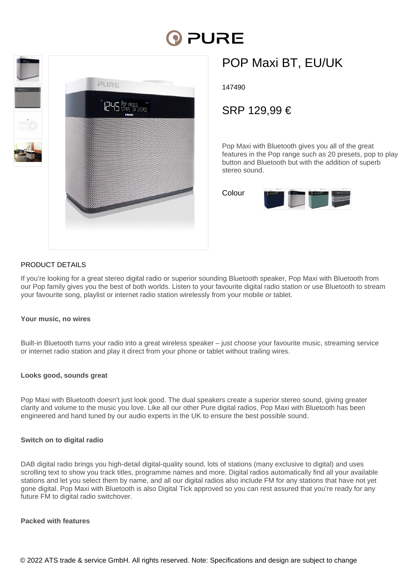# PURE



## POP Maxi BT, EU/UK

147490

### SRP 129,99 €

Pop Maxi with Bluetooth gives you all of the great features in the Pop range such as 20 presets, pop to play button and Bluetooth but with the addition of superb stereo sound.



#### PRODUCT DETAILS

If you're looking for a great stereo digital radio or superior sounding Bluetooth speaker, Pop Maxi with Bluetooth from our Pop family gives you the best of both worlds. Listen to your favourite digital radio station or use Bluetooth to stream your favourite song, playlist or internet radio station wirelessly from your mobile or tablet.

#### **Your music, no wires**

Built-in Bluetooth turns your radio into a great wireless speaker – just choose your favourite music, streaming service or internet radio station and play it direct from your phone or tablet without trailing wires.

#### **Looks good, sounds great**

Pop Maxi with Bluetooth doesn't just look good. The dual speakers create a superior stereo sound, giving greater clarity and volume to the music you love. Like all our other Pure digital radios, Pop Maxi with Bluetooth has been engineered and hand tuned by our audio experts in the UK to ensure the best possible sound.

#### **Switch on to digital radio**

DAB digital radio brings you high-detail digital-quality sound, lots of stations (many exclusive to digital) and uses scrolling text to show you track titles, programme names and more. Digital radios automatically find all your available stations and let you select them by name, and all our digital radios also include FM for any stations that have not yet gone digital. Pop Maxi with Bluetooth is also Digital Tick approved so you can rest assured that you're ready for any future FM to digital radio switchover.

#### **Packed with features**